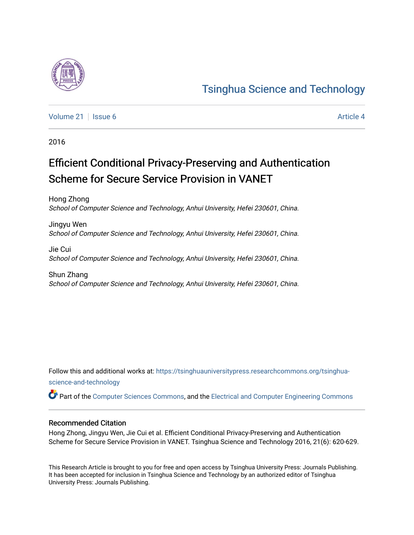

# [Tsinghua Science and Technology](https://tsinghuauniversitypress.researchcommons.org/tsinghua-science-and-technology)

[Volume 21](https://tsinghuauniversitypress.researchcommons.org/tsinghua-science-and-technology/vol21) | [Issue 6](https://tsinghuauniversitypress.researchcommons.org/tsinghua-science-and-technology/vol21/iss6) [Article 4](https://tsinghuauniversitypress.researchcommons.org/tsinghua-science-and-technology/vol21/iss6/4) Article 4

2016

# Efficient Conditional Privacy-Preserving and Authentication Scheme for Secure Service Provision in VANET

Hong Zhong School of Computer Science and Technology, Anhui University, Hefei 230601, China.

Jingyu Wen School of Computer Science and Technology, Anhui University, Hefei 230601, China.

Jie Cui School of Computer Science and Technology, Anhui University, Hefei 230601, China.

Shun Zhang School of Computer Science and Technology, Anhui University, Hefei 230601, China.

Follow this and additional works at: [https://tsinghuauniversitypress.researchcommons.org/tsinghua](https://tsinghuauniversitypress.researchcommons.org/tsinghua-science-and-technology?utm_source=tsinghuauniversitypress.researchcommons.org%2Ftsinghua-science-and-technology%2Fvol21%2Fiss6%2F4&utm_medium=PDF&utm_campaign=PDFCoverPages)[science-and-technology](https://tsinghuauniversitypress.researchcommons.org/tsinghua-science-and-technology?utm_source=tsinghuauniversitypress.researchcommons.org%2Ftsinghua-science-and-technology%2Fvol21%2Fiss6%2F4&utm_medium=PDF&utm_campaign=PDFCoverPages)

Part of the [Computer Sciences Commons](http://network.bepress.com/hgg/discipline/142?utm_source=tsinghuauniversitypress.researchcommons.org%2Ftsinghua-science-and-technology%2Fvol21%2Fiss6%2F4&utm_medium=PDF&utm_campaign=PDFCoverPages), and the [Electrical and Computer Engineering Commons](http://network.bepress.com/hgg/discipline/266?utm_source=tsinghuauniversitypress.researchcommons.org%2Ftsinghua-science-and-technology%2Fvol21%2Fiss6%2F4&utm_medium=PDF&utm_campaign=PDFCoverPages)

# Recommended Citation

Hong Zhong, Jingyu Wen, Jie Cui et al. Efficient Conditional Privacy-Preserving and Authentication Scheme for Secure Service Provision in VANET. Tsinghua Science and Technology 2016, 21(6): 620-629.

This Research Article is brought to you for free and open access by Tsinghua University Press: Journals Publishing. It has been accepted for inclusion in Tsinghua Science and Technology by an authorized editor of Tsinghua University Press: Journals Publishing.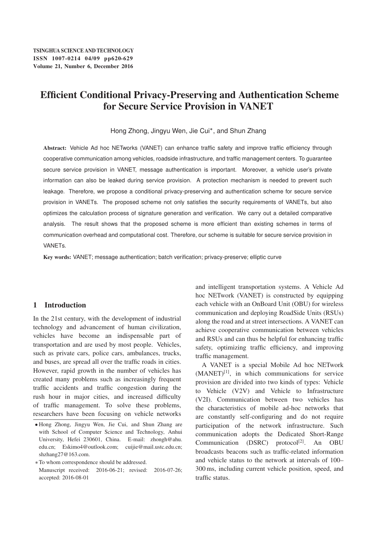# Efficient Conditional Privacy-Preserving and Authentication Scheme for Secure Service Provision in VANET

Hong Zhong, Jingyu Wen, Jie Cui\*, and Shun Zhang

Abstract: Vehicle Ad hoc NETworks (VANET) can enhance traffic safety and improve traffic efficiency through cooperative communication among vehicles, roadside infrastructure, and traffic management centers. To guarantee secure service provision in VANET, message authentication is important. Moreover, a vehicle user's private information can also be leaked during service provision. A protection mechanism is needed to prevent such leakage. Therefore, we propose a conditional privacy-preserving and authentication scheme for secure service provision in VANETs. The proposed scheme not only satisfies the security requirements of VANETs, but also optimizes the calculation process of signature generation and verification. We carry out a detailed comparative analysis. The result shows that the proposed scheme is more efficient than existing schemes in terms of communication overhead and computational cost. Therefore, our scheme is suitable for secure service provision in VANETs.

Key words: VANET; message authentication; batch verification; privacy-preserve; elliptic curve

### 1 Introduction

In the 21st century, with the development of industrial technology and advancement of human civilization, vehicles have become an indispensable part of transportation and are used by most people. Vehicles, such as private cars, police cars, ambulances, trucks, and buses, are spread all over the traffic roads in cities. However, rapid growth in the number of vehicles has created many problems such as increasingly frequent traffic accidents and traffic congestion during the rush hour in major cities, and increased difficulty of traffic management. To solve these problems, researchers have been focusing on vehicle networks

and intelligent transportation systems. A Vehicle Ad hoc NETwork (VANET) is constructed by equipping each vehicle with an OnBoard Unit (OBU) for wireless communication and deploying RoadSide Units (RSUs) along the road and at street intersections. A VANET can achieve cooperative communication between vehicles and RSUs and can thus be helpful for enhancing traffic safety, optimizing traffic efficiency, and improving traffic management.

A VANET is a special Mobile Ad hoc NETwork  $(MANET)^{[1]}$ , in which communications for service provision are divided into two kinds of types: Vehicle to Vehicle (V2V) and Vehicle to Infrastructure (V2I). Communication between two vehicles has the characteristics of mobile ad-hoc networks that are constantly self-configuring and do not require participation of the network infrastructure. Such communication adopts the Dedicated Short-Range Communication (DSRC) protocol<sup>[2]</sup>. An OBU broadcasts beacons such as traffic-related information and vehicle status to the network at intervals of 100– 300 ms, including current vehicle position, speed, and traffic status.

<sup>-</sup> Hong Zhong, Jingyu Wen, Jie Cui, and Shun Zhang are with School of Computer Science and Technology, Anhui University, Hefei 230601, China. E-mail: zhongh@ahu. edu.cn; Eskimo4@outlook.com; cuijie@mail.ustc.edu.cn; shzhang27@163.com.

To whom correspondence should be addressed. Manuscript received: 2016-06-21; revised: 2016-07-26; accepted: 2016-08-01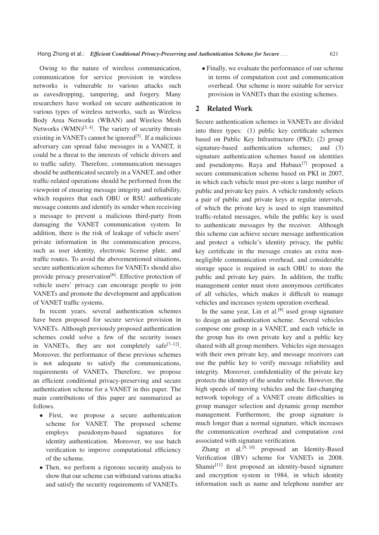Owing to the nature of wireless communication, communication for service provision in wireless networks is vulnerable to various attacks such as eavesdropping, tampering, and forgery. Many researchers have worked on secure authentication in various types of wireless networks, such as Wireless Body Area Networks (WBAN) and Wireless Mesh Networks  $(WMN)^{[3,4]}$ . The variety of security threats existing in VANETs cannot be ignored<sup>[5]</sup>. If a malicious adversary can spread false messages in a VANET, it could be a threat to the interests of vehicle drivers and to traffic safety. Therefore, communication messages should be authenticated securely in a VANET, and other traffic-related operations should be performed from the viewpoint of ensuring message integrity and reliability, which requires that each OBU or RSU authenticate message contents and identify its sender when receiving a message to prevent a malicious third-party from damaging the VANET communication system. In addition, there is the risk of leakage of vehicle users' private information in the communication process, such as user identity, electronic license plate, and traffic routes. To avoid the abovementioned situations, secure authentication schemes for VANETs should also provide privacy preservation<sup>[6]</sup>. Effective protection of vehicle users' privacy can encourage people to join VANETs and promote the development and application of VANET traffic systems.

In recent years, several authentication schemes have been proposed for secure service provision in VANETs. Although previously proposed authentication schemes could solve a few of the security issues in VANETs, they are not completely safe<sup>[7–12]</sup>. Moreover, the performance of these previous schemes is not adequate to satisfy the communications, requirements of VANETs. Therefore, we propose an efficient conditional privacy-preserving and secure authentication scheme for a VANET in this paper. The main contributions of this paper are summarized as follows.

- First, we propose a secure authentication scheme for VANET. The proposed scheme employs pseudonym-based signatures for identity authentication. Moreover, we use batch verification to improve computational efficiency of the scheme.
- Then, we perform a rigorous security analysis to<br>chow that our schome can withstand various attacks show that our scheme can withstand various attacks and satisfy the security requirements of VANETs.

 Finally, we evaluate the performance of our scheme in terms of computation cost and communication overhead. Our scheme is more suitable for service provision in VANETs than the existing schemes.

### 2 Related Work

Secure authentication schemes in VANETs are divided into three types: (1) public key certificate schemes based on Public Key Infrastructure (PKI); (2) group signature-based authentication schemes; and (3) signature authentication schemes based on identities and pseudonyms. Raya and  $H$ ubaux $^{[7]}$  proposed a secure communication scheme based on PKI in 2007, in which each vehicle must pre-store a large number of public and private key pairs. A vehicle randomly selects a pair of public and private keys at regular intervals, of which the private key is used to sign transmitted traffic-related messages, while the public key is used to authenticate messages by the receiver. Although this scheme can achieve secure message authentication and protect a vehicle's identity privacy, the public key certificate in the message creates an extra nonnegligible communication overhead, and considerable storage space is required in each OBU to store the public and private key pairs. In addition, the traffic management center must store anonymous certificates of all vehicles, which makes it difficult to manage vehicles and increases system operation overhead.

In the same year, Lin et al.<sup>[8]</sup> used group signature to design an authentication scheme. Several vehicles compose one group in a VANET, and each vehicle in the group has its own private key and a public key shared with all group members. Vehicles sign messages with their own private key, and message receivers can use the public key to verify message reliability and integrity. Moreover, confidentiality of the private key protects the identity of the sender vehicle. However, the high speeds of moving vehicles and the fast-changing network topology of a VANET create difficulties in group manager selection and dynamic group member management. Furthermore, the group signature is much longer than a normal signature, which increases the communication overhead and computation cost associated with signature verification.

Zhang et al. $[9, 10]$  proposed an Identity-Based Verification (IBV) scheme for VANETs in 2008. Shamir $[11]$  first proposed an identity-based signature and encryption system in 1984, in which identity information such as name and telephone number are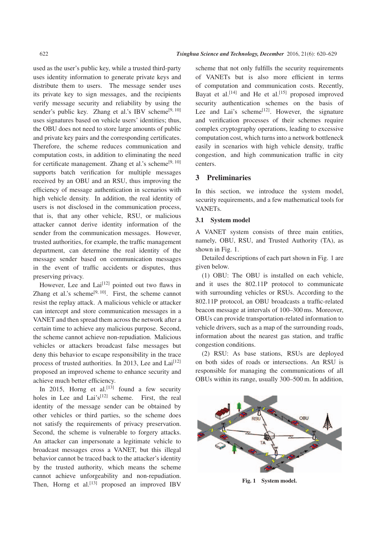used as the user's public key, while a trusted third-party uses identity information to generate private keys and distribute them to users. The message sender uses its private key to sign messages, and the recipients verify message security and reliability by using the sender's public key. Zhang et al.'s IBV scheme<sup>[9, 10]</sup> uses signatures based on vehicle users' identities; thus, the OBU does not need to store large amounts of public and private key pairs and the corresponding certificates. Therefore, the scheme reduces communication and computation costs, in addition to eliminating the need for certificate management. Zhang et al.'s scheme<sup>[9, 10]</sup> supports batch verification for multiple messages received by an OBU and an RSU, thus improving the efficiency of message authentication in scenarios with high vehicle density. In addition, the real identity of users is not disclosed in the communication process, that is, that any other vehicle, RSU, or malicious attacker cannot derive identity information of the sender from the communication messages. However, trusted authorities, for example, the traffic management department, can determine the real identity of the message sender based on communication messages in the event of traffic accidents or disputes, thus preserving privacy.

However, Lee and  $Lai<sup>[12]</sup>$  pointed out two flaws in Zhang et al.'s scheme<sup>[9, 10]</sup>. First, the scheme cannot resist the replay attack. A malicious vehicle or attacker can intercept and store communication messages in a VANET and then spread them across the network after a certain time to achieve any malicious purpose. Second, the scheme cannot achieve non-repudiation. Malicious vehicles or attackers broadcast false messages but deny this behavior to escape responsibility in the trace process of trusted authorities. In 2013, Lee and Lai<sup>[12]</sup> proposed an improved scheme to enhance security and achieve much better efficiency.

In 2015, Horng et al.<sup>[13]</sup> found a few security holes in Lee and Lai's<sup>[12]</sup> scheme. First, the real identity of the message sender can be obtained by other vehicles or third parties, so the scheme does not satisfy the requirements of privacy preservation. Second, the scheme is vulnerable to forgery attacks. An attacker can impersonate a legitimate vehicle to broadcast messages cross a VANET, but this illegal behavior cannot be traced back to the attacker's identity by the trusted authority, which means the scheme cannot achieve unforgeability and non-repudiation. Then, Horng et al.<sup>[13]</sup> proposed an improved IBV

622 *Tsinghua Science and Technology, December* 2016, 21(6): 620–629

scheme that not only fulfills the security requirements of VANETs but is also more efficient in terms of computation and communication costs. Recently, Bayat et al.<sup>[14]</sup> and He et al.<sup>[15]</sup> proposed improved security authentication schemes on the basis of Lee and Lai's scheme $[12]$ . However, the signature and verification processes of their schemes require complex cryptography operations, leading to excessive computation cost, which turns into a network bottleneck easily in scenarios with high vehicle density, traffic congestion, and high communication traffic in city centers.

## 3 Preliminaries

In this section, we introduce the system model, security requirements, and a few mathematical tools for VANETs.

#### 3.1 System model

A VANET system consists of three main entities, namely, OBU, RSU, and Trusted Authority (TA), as shown in Fig. 1.

Detailed descriptions of each part shown in Fig. 1 are given below.

(1) OBU: The OBU is installed on each vehicle, and it uses the 802.11P protocol to communicate with surrounding vehicles or RSUs. According to the 802.11P protocol, an OBU broadcasts a traffic-related beacon message at intervals of 100–300 ms. Moreover, OBUs can provide transportation-related information to vehicle drivers, such as a map of the surrounding roads, information about the nearest gas station, and traffic congestion conditions.

(2) RSU: As base stations, RSUs are deployed on both sides of roads or intersections. An RSU is responsible for managing the communications of all OBUs within its range, usually 300–500 m. In addition,



Fig. 1 System model.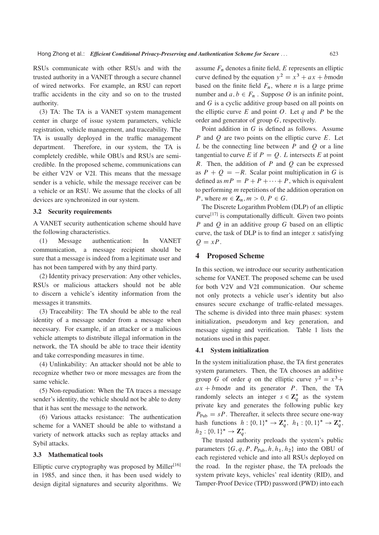RSUs communicate with other RSUs and with the trusted authority in a VANET through a secure channel of wired networks. For example, an RSU can report traffic accidents in the city and so on to the trusted authority.

(3) TA: The TA is a VANET system management center in charge of issue system parameters, vehicle registration, vehicle management, and traceability. The TA is usually deployed in the traffic management department. Therefore, in our system, the TA is completely credible, while OBUs and RSUs are semicredible. In the proposed scheme, communications can be either V2V or V2I. This means that the message sender is a vehicle, while the message receiver can be a vehicle or an RSU. We assume that the clocks of all devices are synchronized in our system.

#### 3.2 Security requirements

A VANET security authentication scheme should have the following characteristics.

(1) Message authentication: In VANET communication, a message recipient should be sure that a message is indeed from a legitimate user and has not been tampered with by any third party.

(2) Identity privacy preservation: Any other vehicles, RSUs or malicious attackers should not be able to discern a vehicle's identity information from the messages it transmits.

(3) Traceability: The TA should be able to the real identity of a message sender from a message when necessary. For example, if an attacker or a malicious vehicle attempts to distribute illegal information in the network, the TA should be able to trace their identity and take corresponding measures in time.

(4) Unlinkability: An attacker should not be able to recognize whether two or more messages are from the same vehicle.

(5) Non-repudiation: When the TA traces a message sender's identity, the vehicle should not be able to deny that it has sent the message to the network.

(6) Various attacks resistance: The authentication scheme for a VANET should be able to withstand a variety of network attacks such as replay attacks and Sybil attacks.

#### 3.3 Mathematical tools

Elliptic curve cryptography was proposed by Miller<sup>[16]</sup> in 1985, and since then, it has been used widely to design digital signatures and security algorithms. We

assume  $F_n$  denotes a finite field, E represents an elliptic curve defined by the equation  $y^2 = x^3 + ax + b$  modn based on the finite field  $F_n$ , where *n* is a large prime number and  $a, b \in F_n$ . Suppose O is an infinite point, and G is a cyclic additive group based on all points on the elliptic curve  $E$  and point  $O$ . Let  $q$  and  $P$  be the order and generator of group G, respectively.

Point addition in G is defined as follows. Assume P and Q are two points on the elliptic curve  $E$ . Let L be the connecting line between  $P$  and  $Q$  or a line tangential to curve E if  $P = Q$ . L intersects E at point R. Then, the addition of  $P$  and  $Q$  can be expressed as  $P + Q = -R$ . Scalar point multiplication in G is defined as  $mP = P + P + \cdots + P$ , which is equivalent to performing m repetitions of the addition operation on P, where  $m \in \mathbb{Z}_n, m > 0, P \in G$ .

The Discrete Logarithm Problem (DLP) of an elliptic  $curve<sup>[17]</sup>$  is computationally difficult. Given two points P and Q in an additive group  $G$  based on an elliptic curve, the task of DLP is to find an integer  $x$  satisfying  $Q = xP$ .

#### 4 Proposed Scheme

In this section, we introduce our security authentication scheme for VANET. The proposed scheme can be used for both V2V and V2I communication. Our scheme not only protects a vehicle user's identity but also ensures secure exchange of traffic-related messages. The scheme is divided into three main phases: system initialization, pseudonym and key generation, and message signing and verification. Table 1 lists the notations used in this paper.

#### 4.1 System initialization

In the system initialization phase, the TA first generates system parameters. Then, the TA chooses an additive group G of order q on the elliptic curve  $y^2 = x^3 +$  $ax + b$  modn and its generator P. Then, the TA randomly selects an integer  $s \in \mathbb{Z}_q^*$  as the system<br>private level and generates the following public level private key and generates the following public key  $P_{\text{Pub}} = sP$ . Thereafter, it selects three secure one-way hash functions  $h: \{0, 1\}^* \to \mathbb{Z}_q^*, h_1: \{0, 1\}^* \to \mathbb{Z}_q^*,$  $h_2: \{0,1\}^* \to \mathbb{Z}_q^*.$ <br>The trusted outl

The trusted authority preloads the system's public parameters  $\{G, q, P, P_{\text{Pub}}\}, h, h_1, h_2\}$  into the OBU of each registered vehicle and into all RSUs deployed on the road. In the register phase, the TA preloads the system private keys, vehicles' real identity (RID), and Tamper-Proof Device (TPD) password (PWD) into each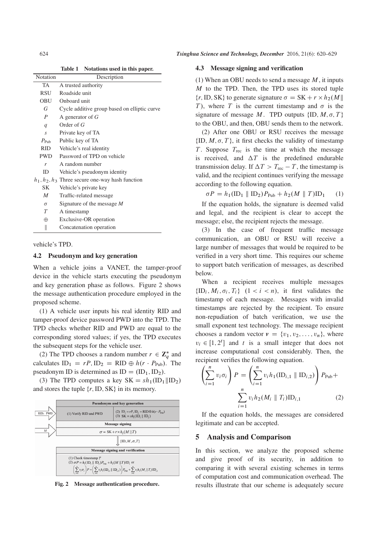| Notation         | Description                                        |
|------------------|----------------------------------------------------|
| TA               | A trusted authority                                |
| <b>RSU</b>       | Roadside unit                                      |
| OBU              | Onboard unit                                       |
| G                | Cycle additive group based on elliptic curve       |
| $\boldsymbol{P}$ | A generator of $G$                                 |
| $\boldsymbol{q}$ | Order of $G$                                       |
| $\overline{S}$   | Private key of TA                                  |
| $P_{\text{Pub}}$ | Public key of TA                                   |
| <b>RID</b>       | Vehicle's real identity                            |
| PWD.             | Password of TPD on vehicle                         |
| r                | A random number                                    |
| ID               | Vehicle's pseudonym identity                       |
|                  | $h_1, h_2, h_3$ Three secure one-way hash function |
| SK               | Vehicle's private key                              |
| $\boldsymbol{M}$ | Traffic-related message                            |
| $\sigma$         | Signature of the message M                         |
| T                | A timestamp                                        |
| $\oplus$         | Exclusive-OR operation                             |
| II               | Concatenation operation                            |

vehicle's TPD.

#### 4.2 Pseudonym and key generation

When a vehicle joins a VANET, the tamper-proof device in the vehicle starts executing the pseudonym and key generation phase as follows. Figure 2 shows the message authentication procedure employed in the proposed scheme.

(1) A vehicle user inputs his real identity RID and tamper-proof device password PWD into the TPD. The TPD checks whether RID and PWD are equal to the corresponding stored values; if yes, the TPD executes the subsequent steps for the vehicle user.

(2) The TPD chooses a random number  $r \in \mathbb{Z}_q^*$  and<br>leaders  $\mathbb{D}_r = rP \mathbb{D}_r = \mathbb{P} \mathbb{D}_r \oplus k(r \cdot P)$ . The calculates  $ID_1 = rP$ ,  $ID_2 = RID \oplus h(r \cdot P_{Pub})$ . The pseudonym ID is determined as  $ID = (ID_1, ID_2)$ .

(3) The TPD computes a key  $SK = sh_1(ID_1||ID_2)$ and stores the tuple  $\{r, ID, SK\}$  in its memory.



Fig. 2 Message authentication procedure.

#### 4.3 Message signing and verification

(1) When an OBU needs to send a message  $M$ , it inputs M to the TPD. Then, the TPD uses its stored tuple  $\{r, \text{ID}, \text{SK}\}\$  to generate signature  $\sigma = \text{SK} + r \times h_2(M \| T)$ .<br>The subset of the current timestamp and  $\sigma$  is the T), where T is the current timestamp and  $\sigma$  is the signature of message M. TPD outputs  $\{ID, M, \sigma, T\}$ <br>to the OBIL and then OBIL sends them to the network to the OBU, and then, OBU sends them to the network.

(2) After one OBU or RSU receives the message  $\{ID, M, \sigma, T\}$ , it first checks the validity of timestamp  $T$ . Suppose  $T$  is the time at which the message T. Suppose  $T_{\text{rec}}$  is the time at which the message is received, and  $\Delta T$  is the predefined endurable transmission delay. If  $\Delta T > T_{\text{rec}} - T$ , the timestamp is valid, and the recipient continues verifying the message according to the following equation.

 $\sigma P = h_1(\text{ID}_1 \parallel \text{ID}_2) P_{\text{Pub}} + h_2(M \parallel T) \text{ID}_1$  (1)

If the equation holds, the signature is deemed valid and legal, and the recipient is clear to accept the message; else, the recipient rejects the message.

(3) In the case of frequent traffic message communication, an OBU or RSU will receive a large number of messages that would be required to be verified in a very short time. This requires our scheme to support batch verification of messages, as described below.

When a recipient receives multiple messages  $\{ID_i, M_i, \sigma_i, T_i\}$   $(1 < i < n)$ , it first validates the timestame of each massage. Messages with involved timestamp of each message. Messages with invalid timestamps are rejected by the recipient. To ensure non-repudiation of batch verification, we use the small exponent test technology. The message recipient chooses a random vector  $v = \{v_1, v_2, \ldots, v_n\}$ , where  $v_i \in [1, 2^t]$  and t is a small integer that does not<br>increase computational cost considerably. Then, the increase computational cost considerably. Then, the recipient verifies the following equation.

$$
\left(\sum_{i=1}^{n} v_i \sigma_i\right) P = \left(\sum_{i=1}^{n} v_i h_1(\text{ID}_{i,1} \parallel \text{ID}_{i,2})\right) P_{\text{Pub}} + \sum_{i=1}^{n} v_i h_2(M_i \parallel T_i) \text{ID}_{i,1}
$$
\n(2)

If the equation holds, the messages are considered legitimate and can be accepted.

#### 5 Analysis and Comparison

In this section, we analyze the proposed scheme and give proof of its security, in addition to comparing it with several existing schemes in terms of computation cost and communication overhead. The results illustrate that our scheme is adequately secure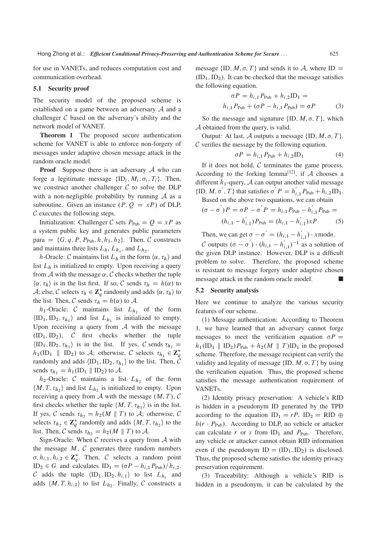for use in VANETs, and reduces computation cost and communication overhead.

#### 5.1 Security proof

The security model of the proposed scheme is established on a game between an adversary A and a challenger  $C$  based on the adversary's ability and the network model of VANET.

Theorem 1 The proposed secure authentication scheme for VANET is able to enforce non-forgery of messages under adaptive chosen message attack in the random oracle model.

**Proof** Suppose there is an adversary  $A$  who can forge a legitimate message  $\{ID_i, M_i, \sigma_i, T_i\}$ . Then, we construct another challenger  $C$  to solve the DLP with a non-negligible probability by running  $\mathcal A$  as a subroutine. Given an instance  $(P, Q = xP)$  of DLP,  $\mathcal C$  executes the following steps.

Initialization: Challenger C sets  $P_{\text{Pub}} = Q = xP$  as a system public key and generates public parameters para =  $\{G, q, P, P_{\text{Pub}}, h, h_1, h_2\}$ . Then, C constructs and maintains three lists  $L_h$ ,  $L_{h_1}$ , and  $L_{h_2}$ .

h-Oracle: C maintains list  $L_h$  in the form  $\langle \alpha, \tau_h \rangle$  and list  $L<sub>h</sub>$  is initialized to empty. Upon receiving a query from A with the message  $\alpha$ , C checks whether the tuple  $\langle \alpha, \tau_h \rangle$  is in the list first. If so, C sends  $\tau_h = h(\alpha)$  to A; else, C selects  $\tau_h \in \mathbb{Z}_q^*$  randomly and adds  $\langle \alpha, \tau_h \rangle$  to the list. Then C sends  $\tau_h = h(\alpha)$  to  $\Lambda$ the list. Then, C sends  $\tau_h = h(\alpha)$  to A.

 $h_1$ -Oracle: C maintains list  $L_{h_1}$  of the form  $\langle$ ID<sub>1</sub>, ID<sub>2</sub>,  $\tau_{h_1}$  and list  $L_{h_1}$  is initialized to empty. Upon receiving a query from  $A$  with the message  $(ID_1, ID_2), \quad C \text{ first checks whether the tuple}$  $\langle ID_1, ID_2, \tau_{h_1} \rangle$  is in the list. If yes, C sends  $\tau_{h_1} =$  $h_1(\text{ID}_1 \parallel \text{ID}_2)$  to A; otherwise, C selects  $\tau_{h_1} \in \mathbb{Z}_q^*$ <br>rendomly and adds (ID, ID,  $\tau_{h_1}$ ) to the list. Then C randomly and adds  $\langle ID_1, ID_2, \tau_{h_1} \rangle$  to the list. Then, C sends  $\tau_{h_1} = h_1(\text{ID}_1 \parallel \text{ID}_2)$  to A.

 $h_2$ -Oracle: C maintains a list  $L_{h_2}$  of the form  $\langle M, T, \tau_{h_2} \rangle$  and list  $L_{h_2}$  is initialized to empty. Upon receiving a query from  $A$  with the message  $(M, T)$ ,  $C$ first checks whether the tuple  $\langle M, T, \tau_{h_2} \rangle$  is in the list. If yes, C sends  $\tau_{h_2} = h_2(M \parallel T)$  to A; otherwise, C selects  $\tau_{h_2} \in \mathbb{Z}_q^*$  randomly and adds  $\langle M, T, \tau_{h_2} \rangle$  to the<br>list. Then C sonds  $\tau_{h_1} = h(M \parallel T)$  to  $\Lambda$ list. Then, C sends  $\tau_{h_2} = h_2(M \parallel T)$  to A.

Sign-Oracle: When  $C$  receives a query from  $A$  with the message  $M$ ,  $C$  generates three random numbers  $\sigma, h_{i,1}, h_{i,2} \in \mathbb{Z}_q^*$ . Then, C selects a random point<br>ID  $\subset C$  and calculates ID  $\subset (\subset P, h_1, P_2) / h_1$  $ID_2 \in G$  and calculates  $ID_1 = (\sigma P - h_{i,1} P_{\text{Pub}})/h_{i,2}$ . C adds the tuple  $\langle \text{ID}_1, \text{ID}_2, h_{i,1} \rangle$  to list  $L_{h_i}$  and adds  $\langle M, T, h_{i,2} \rangle$  to list  $L_{h_2}$ . Finally, C constructs a message  $\{ID, M, \sigma, T\}$  and sends it to  $A$ , where  $ID =$  $(ID_1, ID_2)$ . It can be checked that the message satisfies the following equation.

$$
\sigma P = h_{i,1} P_{\text{Pub}} + h_{i,2} \text{ID}_1 = h_{i,1} P_{\text{Pub}} + (\sigma P - h_{i,1} P_{\text{Pub}}) = \sigma P
$$
 (3)

So the message and signature  $\{ID, M, \sigma, T\}$ , which<br>obtained from the query is yound A obtained from the query, is valid.

Output: At last, A outputs a message  $\{ID, M, \sigma, T\}$ .  $\mathcal C$  verifies the message by the following equation.

$$
\sigma P = h_{i,1} P_{\text{Pub}} + h_{i,2} \text{ID}_1 \tag{4}
$$

If it does not hold,  $C$  terminates the game process. According to the forking lemma<sup>[12]</sup>, if  $A$  chooses a different  $h_1$ -query,  $A$  can output another valid message {ID, M,  $\sigma'$ , T} that satisfies  $\sigma' P = h'_{i,1} P_{\text{Pub}} + h_{i,2} \text{ID}_1$ .

Based on the above two equations, we can obtain  
\n
$$
(\sigma - \sigma')P = \sigma P - \sigma' P = h_{i,1}P_{\text{Pub}} - h'_{i,1}P_{\text{Pub}} =
$$
\n
$$
(h_{i,1} - h'_{i,1})P_{\text{Pub}} = (h_{i,1} - h'_{i,1})xP
$$
\n(5)

Then, we can get  $\sigma - \sigma' = (h_{i,1} - h'_{i,1}) \cdot x \mod n$ .

C outputs  $(\sigma - \sigma') \cdot (h_{i,1} - h'_{i,1})^{-1}$  as a solution of the given DLP instance. However, DLP is a difficult problem to solve. Therefore, the proposed scheme is resistant to message forgery under adaptive chosen message attack in the random oracle model.

#### 5.2 Security analysis

Here we continue to analyze the various security features of our scheme.

(1) Message authentication: According to Theorem 1, we have learned that an adversary cannot forge messages to meet the verification equation  $\sigma P =$ <br>b (ID  $\parallel$  ID  $\parallel$  P  $\parallel$  + b (M  $\parallel$  T)ID in the proposed  $h_1(\text{ID}_1 \parallel \text{ID}_2)P_{\text{Pub}} + h_2(M \parallel T) \text{ID}_1$  in the proposed scheme. Therefore, the message recipient can verify the validity and legality of message  $\{ID, M, \sigma, T\}$  by using<br>the verification equation. Thus, the proposed scheme the verification equation. Thus, the proposed scheme satisfies the message authentication requirement of VANETs.

(2) Identity privacy preservation: A vehicle's RID is hidden in a pseudonym ID generated by the TPD according to the equation  $ID_1 = rP$ ,  $ID_2 = RID \oplus$  $h(r \cdot P_{\text{Pub}})$ . According to DLP, no vehicle or attacker can calculate r or s from  $ID_1$  and  $P_{\text{Pub}}$ . Therefore, any vehicle or attacker cannot obtain RID information even if the pseudonym  $ID = (ID_1, ID_2)$  is disclosed. Thus, the proposed scheme satisfies the identity privacy preservation requirement.

(3) Traceability: Although a vehicle's RID is hidden in a pseudonym, it can be calculated by the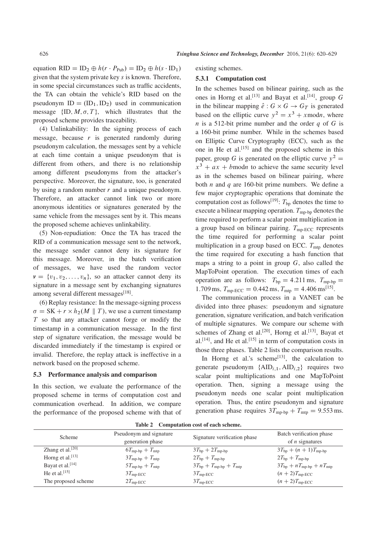equation RID = ID<sub>2</sub>  $\oplus h(r \cdot P_{\text{Pub}})$  = ID<sub>2</sub>  $\oplus h(s \cdot ID_1)$ given that the system private key s is known. Therefore, in some special circumstances such as traffic accidents, the TA can obtain the vehicle's RID based on the pseudonym  $ID = (ID_1, ID_2)$  used in communication message  $\{ID, M, \sigma, T\}$ , which illustrates that the proposed scheme provides traceability.

(4) Unlinkability: In the signing process of each message, because  $r$  is generated randomly during pseudonym calculation, the messages sent by a vehicle at each time contain a unique pseudonym that is different from others, and there is no relationship among different pseudonyms from the attacker's perspective. Moreover, the signature, too, is generated by using a random number  $r$  and a unique pseudonym. Therefore, an attacker cannot link two or more anonymous identities or signatures generated by the same vehicle from the messages sent by it. This means the proposed scheme achieves unlinkability.

(5) Non-repudiation: Once the TA has traced the RID of a communication message sent to the network, the message sender cannot deny its signature for this message. Moreover, in the batch verification of messages, we have used the random vector  $v = \{v_1, v_2, \ldots, v_n\}$ , so an attacker cannot deny its signature in a message sent by exchanging signatures among several different messages<sup>[18]</sup>.

(6) Replay resistance: In the message-signing process  $\sigma = SK + r \times h_2(M \parallel T)$ , we use a current timestamp<br>T so that any attacker cannot force or modify the T so that any attacker cannot forge or modify the timestamp in a communication message. In the first step of signature verification, the message would be discarded immediately if the timestamp is expired or invalid. Therefore, the replay attack is ineffective in a network based on the proposed scheme.

#### 5.3 Performance analysis and comparison

In this section, we evaluate the performance of the proposed scheme in terms of computation cost and communication overhead. In addition, we compare the performance of the proposed scheme with that of existing schemes.

#### 5.3.1 Computation cost

In the schemes based on bilinear pairing, such as the ones in Horng et al.<sup>[13]</sup> and Bayat et al.<sup>[14]</sup>, group G in the bilinear mapping  $\hat{e}: G \times G \rightarrow G_T$  is generated based on the elliptic curve  $y^2 = x^3 + x \mod n$ , where *n* is a 512-bit prime number and the order  $q$  of  $G$  is a 160-bit prime number. While in the schemes based on Elliptic Curve Cryptography (ECC), such as the one in He et al.<sup>[15]</sup> and the proposed scheme in this paper, group G is generated on the elliptic curve  $y^2 =$  $x^3 + ax + b$  modn to achieve the same security level as in the schemes based on bilinear pairing, where both *n* and *q* are 160-bit prime numbers. We define a few major cryptographic operations that dominate the computation cost as follows<sup>[19]</sup>:  $T_{bp}$  denotes the time to execute a bilinear mapping operation.  $T_{\text{mp-bp}}$  denotes the time required to perform a scalar point multiplication in a group based on bilinear pairing.  $T_{\text{mp-ECC}}$  represents the time required for performing a scalar point multiplication in a group based on ECC.  $T_{\text{mtp}}$  denotes the time required for executing a hash function that maps a string to a point in group  $G$ , also called the MapToPoint operation. The execution times of each operation are as follows:  $T_{bp} = 4.211$  ms,  $T_{mp-bp} =$ 1.709 ms,  $T_{\text{mp-ECC}} = 0.442 \text{ ms}, T_{\text{mtp}} = 4.406 \text{ ms}^{[15]}$ .

The communication process in a VANET can be divided into three phases: pseudonym and signature generation, signature verification, and batch verification of multiple signatures. We compare our scheme with schemes of Zhang et al.<sup>[20]</sup>, Horng et al.<sup>[13]</sup>, Bayat et al.<sup>[14]</sup>, and He et al.<sup>[15]</sup> in term of computation costs in those three phases. Table 2 lists the comparison results.

In Horng et al.'s scheme<sup>[13]</sup>, the calculation to generate pseudonym  $\{AID_{i,1}, AID_{i,2}\}$  requires two scalar point multiplications and one MapToPoint operation. Then, signing a message using the pseudonym needs one scalar point multiplication operation. Thus, the entire pseudonym and signature generation phase requires  $3T_{\text{mp-bp}} + T_{\text{mtp}} = 9.553 \text{ ms}.$ 

| Scheme                       | Pseudonym and signature<br>generation phase | Signature verification phase         | Batch verification phase<br>of $n$ signatures |
|------------------------------|---------------------------------------------|--------------------------------------|-----------------------------------------------|
| Zhang et al. $[20]$          | $6T_{\rm mp\text{-}bp} + T_{\rm mtp}$       | $3T_{\text{bp}} + 2T_{\text{mp-bp}}$ | $3T_{bp} + (n + 1)T_{mp-bp}$                  |
| Horng et al. $[13]$          | $3T_{\rm mp\text{-}bp} + T_{\rm mtp}$       | $2T_{\text{bp}} + T_{\text{mp-bp}}$  | $2T_{\text{bp}} + T_{\text{mp-bp}}$           |
| Bayat et al. <sup>[14]</sup> | $5T_{\text{mp-bp}} + T_{\text{mtp}}$        | $3T_{bp} + T_{mp-bp} + T_{mtp}$      | $3T_{bp} + nT_{mp-bp} + nT_{mtp}$             |
| He et al. $[15]$             | $3T_{\text{mp-ECC}}$                        | $3T_{\text{mp-ECC}}$                 | $(n+2)T_{\text{mp-ECC}}$                      |
| The proposed scheme          | $2T_{\text{mp-ECC}}$                        | $3T_{\text{mp-ECC}}$                 | $(n+2)T_{\text{mp-ECC}}$                      |

Table 2 Computation cost of each scheme.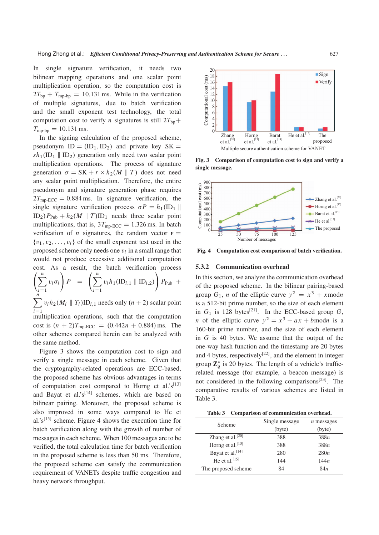In single signature verification, it needs two bilinear mapping operations and one scalar point multiplication operation, so the computation cost is  $2T_{bp} + T_{mp-bp} = 10.131$  ms. While in the verification of multiple signatures, due to batch verification and the small exponent test technology, the total computation cost to verify *n* signatures is still  $2T_{bp}$ +  $T_{\rm mp-bp} = 10.131 \text{ ms}.$ 

In the signing calculation of the proposed scheme, pseudonym  $ID = (ID_1, ID_2)$  and private key  $SK =$  $sh_1(ID_1 \parallel ID_2)$  generation only need two scalar point multiplication operations. The process of signature generation  $\sigma = SK + r \times h_2(M \parallel T)$  does not need<br>any scalar point multiplication. Therefore, the entire any scalar point multiplication. Therefore, the entire pseudonym and signature generation phase requires  $2T_{\text{mn-ECC}} = 0.884 \text{ ms}$ . In signature verification, the single signature verification process  $\sigma P = h_1(\text{ID}_1 \| \text{ID}_1) P_{n+1} h_1(M \| T)$  mode three sceler point  $ID_2$ ) $P_{Pub}$  +  $h_2(M \parallel T)ID_1$  needs three scalar point multiplications, that is,  $3T_{mp-ECC} = 1.326$  ms. In batch verification of *n* signatures, the random vector  $v =$  $\{v_1, v_2, \ldots, v_i\}$  of the small exponent test used in the proposed scheme only needs one  $v_i$  in a small range that would not produce excessive additional computation cost. As a result, the batch verification process  $\sqrt{ }$  $\setminus$  $\sqrt{ }$  $\lambda$ 

$$
\left(\sum_{i=1}^{n} v_i \sigma_i\right) P = \left(\sum_{i=1}^{n} v_i h_1(\text{ID}_{i,1} \parallel \text{ID}_{i,2})\right) P_{\text{Pub}} +
$$
  

$$
\sum_{i=1}^{n} v_i h_2(M_i \parallel T_i) \text{ID}_{i,1} \text{ needs only } (n+2) \text{ scalar point}
$$

 $i=1$  multiplication operations, such that the computation  $v_i h_2(M_i \parallel T_i) \text{ID}_{i,1}$  needs only  $(n + 2)$  scalar point

cost is  $(n + 2)T_{\text{mp-ECC}} = (0.442n + 0.884) \text{ ms}$ . The other schemes compared herein can be analyzed with the same method.

Figure 3 shows the computation cost to sign and verify a single message in each scheme. Given that the cryptography-related operations are ECC-based, the proposed scheme has obvious advantages in terms of computation cost compared to Horng et al.' $s^{[13]}$ and Bayat et al.' $s^{[14]}$  schemes, which are based on bilinear pairing. Moreover, the proposed scheme is also improved in some ways compared to He et al.'s<sup>[15]</sup> scheme. Figure 4 shows the execution time for batch verification along with the growth of number of messages in each scheme. When 100 messages are to be verified, the total calculation time for batch verification in the proposed scheme is less than 50 ms. Therefore, the proposed scheme can satisfy the communication requirement of VANETs despite traffic congestion and heavy network throughput.



Fig. 3 Comparison of computation cost to sign and verify a single message.



Fig. 4 Computation cost comparison of batch verification.

#### 5.3.2 Communication overhead

In this section, we analyze the communication overhead of the proposed scheme. In the bilinear pairing-based group  $G_1$ , *n* of the elliptic curve  $y^2 = x^3 + x \mod n$ is a 512-bit prime number, so the size of each element in  $G_1$  is 128 bytes<sup>[21]</sup>. In the ECC-based group G, *n* of the elliptic curve  $y^2 = x^3 + ax + b$  modn is a 160-bit prime number, and the size of each element in  $G$  is 40 bytes. We assume that the output of the one-way hash function and the timestamp are 20 bytes and 4 bytes, respectively<sup>[22]</sup>, and the element in integer group  $\mathbb{Z}_q^*$  is 20 bytes. The length of a vehicle's trafficrelated message (for example, a beacon message) is not considered in the following comparisons<sup>[23]</sup>. The comparative results of various schemes are listed in Table 3.

Table 3 Comparison of communication overhead.

| Scheme                       | Single message | $n$ messages    |
|------------------------------|----------------|-----------------|
|                              | (byte)         | (byte)          |
| Zhang et al. <sup>[20]</sup> | 388            | 388n            |
| Horng et al. <sup>[13]</sup> | 388            | 388n            |
| Bayat et al. <sup>[14]</sup> | 280            | 280n            |
| He et al. $[15]$             | 144            | 144n            |
| The proposed scheme          | 84             | 84 <sub>n</sub> |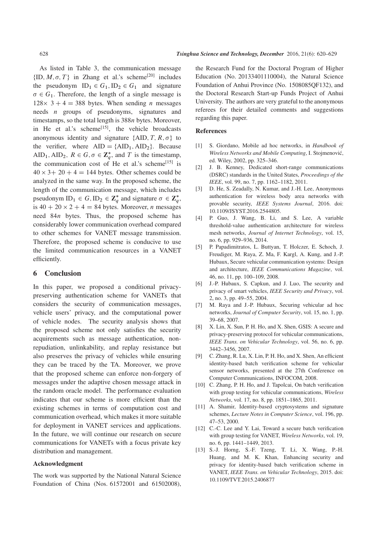As listed in Table 3, the communication message  $\{ID, M, \sigma, T\}$  in Zhang et al.'s scheme<sup>[20]</sup> includes the pseudonym  $ID_1 \in G_1, ID_2 \in G_1$  and signature  $\sigma \in G_1$ . Therefore, the length of a single message is<br>128×2+4 = 288 bytes. When sonding n messages  $128 \times 3 + 4 = 388$  bytes. When sending *n* messages needs *n* groups of pseudonyms, signatures and timestamps, so the total length is 388n bytes. Moreover, in He et al.'s scheme<sup>[15]</sup>, the vehicle broadcasts anonymous identity and signature  $\{AID, T, R, \sigma\}$  to<br>the verifier where  $AID = \{AID, AID\}$ . Because the verifier, where  $AID = {AID<sub>1</sub>, AID<sub>2</sub>}.$  Because AID<sub>1</sub>, AID<sub>2</sub>,  $R \in G$ ,  $\sigma \in \mathbb{Z}_q^*$ , and T is the timestamp,<br>the communication cost of He at al's schoons<sup>[15]</sup> is the communication cost of He et al.'s scheme<sup>[15]</sup> is  $40 \times 3+20+4=144$  bytes. Other schemes could be analyzed in the same way. In the proposed scheme, the length of the communication message, which includes pseudonym ID<sub>1</sub>  $\in G$ , ID<sub>2</sub>  $\in \mathbb{Z}_q^*$  and signature  $\sigma \in \mathbb{Z}_q^*$ ,<br>is 40 + 20 × 2 + 4 = 84 bytes. Moreover *n* messences is  $40 + 20 \times 2 + 4 = 84$  bytes. Moreover, *n* messages need 84n bytes. Thus, the proposed scheme has considerably lower communication overhead compared to other schemes for VANET message transmission. Therefore, the proposed scheme is conducive to use

the limited communication resources in a VANET

#### 6 Conclusion

efficiently.

In this paper, we proposed a conditional privacypreserving authentication scheme for VANETs that considers the security of communication messages, vehicle users' privacy, and the computational power of vehicle nodes. The security analysis shows that the proposed scheme not only satisfies the security acquirements such as message authentication, nonrepudiation, unlinkability, and replay resistance but also preserves the privacy of vehicles while ensuring they can be traced by the TA. Moreover, we prove that the proposed scheme can enforce non-forgery of messages under the adaptive chosen message attack in the random oracle model. The performance evaluation indicates that our scheme is more efficient than the existing schemes in terms of computation cost and communication overhead, which makes it more suitable for deployment in VANET services and applications. In the future, we will continue our research on secure communications for VANETs with a focus private key distribution and management.

#### Acknowledgment

The work was supported by the National Natural Science Foundation of China (Nos. 61572001 and 61502008),

the Research Fund for the Doctoral Program of Higher Education (No. 20133401110004), the Natural Science Foundation of Anhui Province (No. 1508085QF132), and the Doctoral Research Start-up Funds Project of Anhui University. The authors are very grateful to the anonymous referees for their detailed comments and suggestions regarding this paper.

#### References

- [1] S. Giordano, Mobile ad hoc networks, in *Handbook of Wireless Networks and Mobile Computing*, I. Stojmenovic,´ ed. Wiley, 2002, pp. 325–346.
- [2] J. B. Kenney, Dedicated short-range communications (DSRC) standards in the United States, *Proceedings of the IEEE*, vol. 99, no. 7, pp. 1162–1182, 2011.
- [3] D. He, S. Zeadally, N. Kumar, and J.-H. Lee, Anonymous authentication for wireless body area networks with provable security, *IEEE Systems Journal*, 2016. doi: 10.1109/JSYST.2016.2544805.
- [4] P. Guo, J. Wang, B. Li, and S. Lee, A variable threshold-value authentication architecture for wireless mesh networks, *Journal of Internet Technology*, vol. 15, no. 6, pp. 929–936, 2014.
- [5] P. Papadimitratos, L. Buttyan, T. Holczer, E. Schoch, J. Freudiger, M. Raya, Z. Ma, F. Kargl, A. Kung, and J.-P. Hubaux, Secure vehicular communication systems: Design and architecture, *IEEE Communications Magazine*, vol. 46, no. 11, pp. 100–109, 2008.
- [6] J.-P. Hubaux, S. Capkun, and J. Luo, The security and privacy of smart vehicles, *IEEE Security and Privacy*, vol. 2, no. 3, pp. 49–55, 2004.
- [7] M. Raya and J.-P. Hubaux, Securing vehicular ad hoc networks, *Journal of Computer Security*, vol. 15, no. 1, pp. 39–68, 2007.
- [8] X. Lin, X. Sun, P. H. Ho, and X. Shen, GSIS: A secure and privacy-preserving protocol for vehicular communications, *IEEE Trans. on Vehicular Technology*, vol. 56, no. 6, pp. 3442–3456, 2007.
- [9] C. Zhang, R. Lu, X. Lin, P. H. Ho, and X. Shen, An efficient identity-based batch verification scheme for vehicular sensor networks, presented at the 27th Conference on Computer Communications, INFOCOM, 2008.
- [10] C. Zhang, P. H. Ho, and J. Tapolcai, On batch verification with group testing for vehicular communications, *Wireless Networks*, vol. 17, no. 8, pp. 1851–1865, 2011.
- [11] A. Shamir, Identity-based cryptosystems and signature schemes, *Lecture Notes in Computer Science*, vol. 196, pp. 47–53, 2000.
- [12] C.-C. Lee and Y. Lai, Toward a secure batch verification with group testing for VANET, *Wireless Networks*, vol. 19, no. 6, pp. 1441–1449, 2013.
- [13] S.-J. Horng, S.-F. Tzeng, T. Li, X. Wang, P.-H. Huang, and M. K. Khan, Enhancing security and privacy for identity-based batch verification scheme in VANET, *IEEE Trans. on Vehicular Technology*, 2015. doi: 10.1109/TVT.2015.2406877